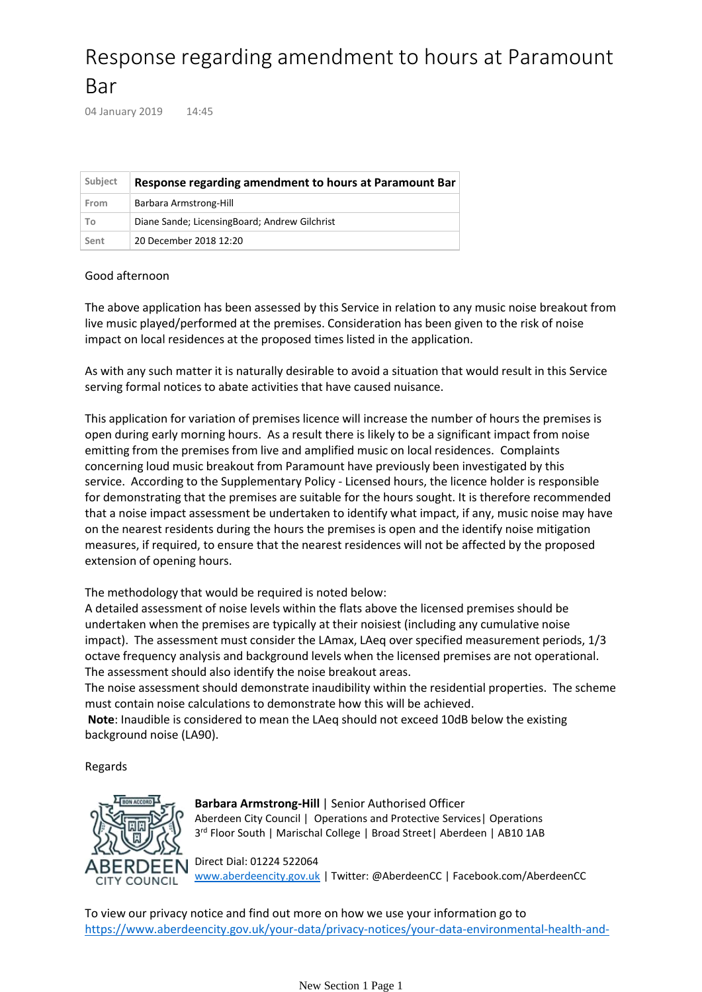## Response regarding amendment to hours at Paramount Bar

04 January 2019 14:45

| Subject | Response regarding amendment to hours at Paramount Bar |
|---------|--------------------------------------------------------|
| From    | Barbara Armstrong-Hill                                 |
| To      | Diane Sande; Licensing Board; Andrew Gilchrist         |
| Sent    | 20 December 2018 12:20                                 |

## Good afternoon

The above application has been assessed by this Service in relation to any music noise breakout from live music played/performed at the premises. Consideration has been given to the risk of noise impact on local residences at the proposed times listed in the application.

As with any such matter it is naturally desirable to avoid a situation that would result in this Service serving formal notices to abate activities that have caused nuisance.

This application for variation of premises licence will increase the number of hours the premises is open during early morning hours. As a result there is likely to be a significant impact from noise emitting from the premises from live and amplified music on local residences. Complaints concerning loud music breakout from Paramount have previously been investigated by this service. According to the Supplementary Policy - Licensed hours, the licence holder is responsible for demonstrating that the premises are suitable for the hours sought. It is therefore recommended that a noise impact assessment be undertaken to identify what impact, if any, music noise may have on the nearest residents during the hours the premises is open and the identify noise mitigation measures, if required, to ensure that the nearest residences will not be affected by the proposed extension of opening hours.

The methodology that would be required is noted below:

A detailed assessment of noise levels within the flats above the licensed premises should be undertaken when the premises are typically at their noisiest (including any cumulative noise impact). The assessment must consider the LAmax, LAeq over specified measurement periods, 1/3 octave frequency analysis and background levels when the licensed premises are not operational. The assessment should also identify the noise breakout areas.

The noise assessment should demonstrate inaudibility within the residential properties. The scheme must contain noise calculations to demonstrate how this will be achieved.

Note: Inaudible is considered to mean the LAeq should not exceed 10dB below the existing background noise (LA90).

Regards



**Barbara Armstrong-Hill** | Senior Authorised Officer Aberdeen City Council | Operations and Protective Services| Operations 3 rd Floor South | Marischal College | Broad Street| Aberdeen | AB10 1AB

Direct Dial: 01224 522064 [www.aberdeencity.gov.uk](http://www.aberdeencity.gov.uk) | Twitter: @AberdeenCC | Facebook.com/AberdeenCC

To view our privacy notice and find out more on how we use your information go to [https://www.aberdeencity.gov.uk/your-data/privacy-notices/your-data-environmental-health-and-](https://www.aberdeencity.gov.uk/your-data/privacy-notices/your-data-environmental-health-and-trading-standards)